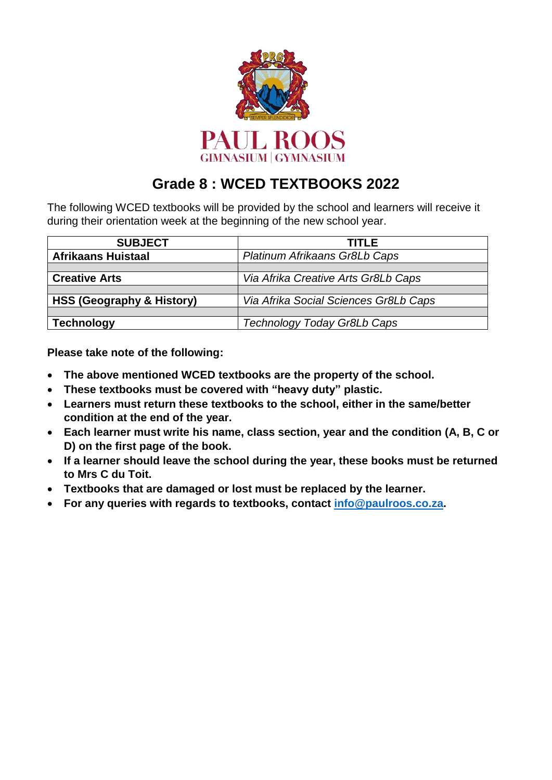

# **Grade 8 : WCED TEXTBOOKS 2022**

The following WCED textbooks will be provided by the school and learners will receive it during their orientation week at the beginning of the new school year.

| <b>SUBJECT</b>                       | <b>TITLE</b>                          |  |
|--------------------------------------|---------------------------------------|--|
| <b>Afrikaans Huistaal</b>            | Platinum Afrikaans Gr8Lb Caps         |  |
|                                      |                                       |  |
| <b>Creative Arts</b>                 | Via Afrika Creative Arts Gr8Lb Caps   |  |
|                                      |                                       |  |
| <b>HSS (Geography &amp; History)</b> | Via Afrika Social Sciences Gr8Lb Caps |  |
|                                      |                                       |  |
| <b>Technology</b>                    | Technology Today Gr8Lb Caps           |  |

**Please take note of the following:**

- **The above mentioned WCED textbooks are the property of the school.**
- **These textbooks must be covered with "heavy duty" plastic.**
- **Learners must return these textbooks to the school, either in the same/better condition at the end of the year.**
- **Each learner must write his name, class section, year and the condition (A, B, C or D) on the first page of the book.**
- **If a learner should leave the school during the year, these books must be returned to Mrs C du Toit.**
- **Textbooks that are damaged or lost must be replaced by the learner.**
- **For any queries with regards to textbooks, contact [info@paulroos.co.za.](mailto:info@paulroos.co.za)**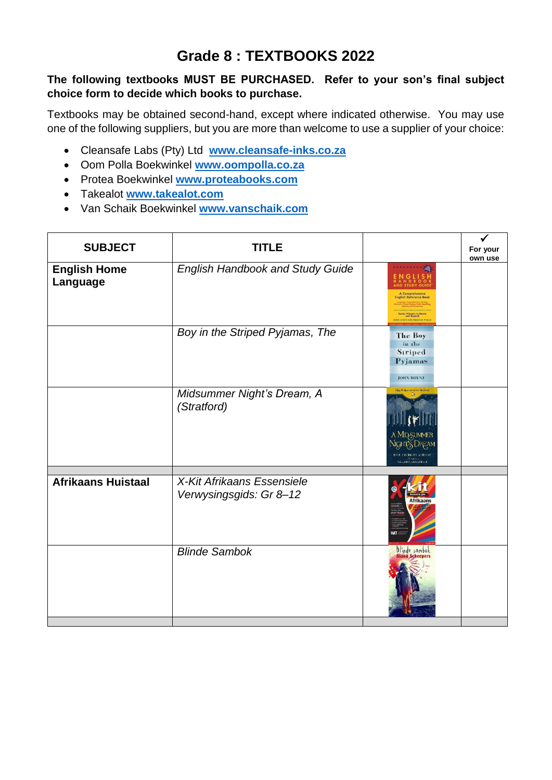## **Grade 8 : TEXTBOOKS 2022**

#### **The following textbooks MUST BE PURCHASED. Refer to your son's final subject choice form to decide which books to purchase.**

Textbooks may be obtained second-hand, except where indicated otherwise. You may use one of the following suppliers, but you are more than welcome to use a supplier of your choice:

- Cleansafe Labs (Pty) Ltd **[www.cleansafe-inks.co.za](http://www.cleansafe-inks.co.za/)**
- Oom Polla Boekwinkel **[www.oompolla.co.za](http://www.oompolla.co.za/)**
- Protea Boekwinkel **[www.proteabooks.com](http://www.proteabooks.com/)**
- Takealot **[www.takealot.com](http://www.takealot.com/)**
- Van Schaik Boekwinkel **[www.vanschaik.com](http://www.vanschaik.com/)**

| <b>SUBJECT</b>                  | <b>TITLE</b>                                          |                                                                                                                                              | √<br>For your<br>own use |
|---------------------------------|-------------------------------------------------------|----------------------------------------------------------------------------------------------------------------------------------------------|--------------------------|
| <b>English Home</b><br>Language | <b>English Handbook and Study Guide</b>               | 森<br><b>A Comprehensive</b><br><b>English Reference Book</b><br>Senior Primary to Matric<br>and Beyond<br><b>ERYL LUTEIN: AND MARCELLE P</b> |                          |
|                                 | Boy in the Striped Pyjamas, The                       | The Boy<br>in the<br>Striped<br>Pyjamas<br><b>JOHN BOVNE</b>                                                                                 |                          |
|                                 | Midsummer Night's Dream, A<br>(Stratford)             | A MIDSUMMER<br>Night's Dream<br>PAUL LEONABD VERBAY<br>SILLAM SLAKESI EARE                                                                   |                          |
| <b>Afrikaans Huistaal</b>       | X-Kit Afrikaans Essensiele<br>Verwysingsgids: Gr 8-12 |                                                                                                                                              |                          |
|                                 | <b>Blinde Sambok</b>                                  | <b><i>Dlinde sambok</i></b><br>Riana Scheepers                                                                                               |                          |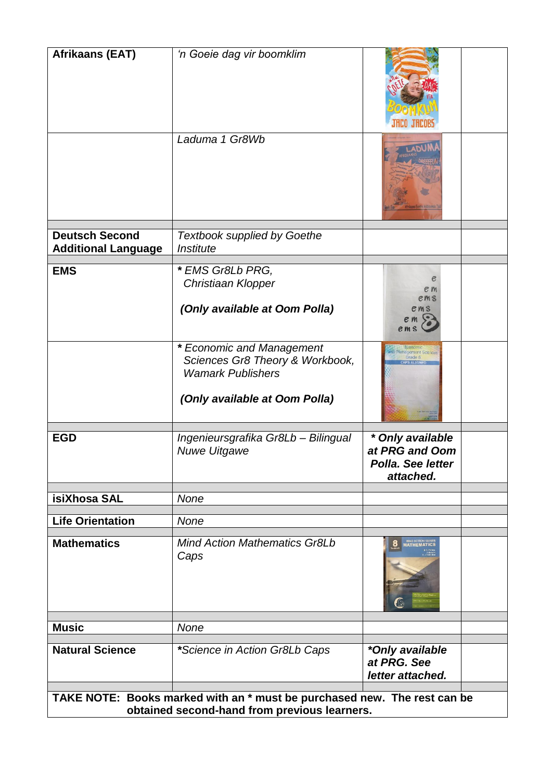| <b>Afrikaans (EAT)</b>                                                   | 'n Goeie dag vir boomklim                                  |                                                                      |
|--------------------------------------------------------------------------|------------------------------------------------------------|----------------------------------------------------------------------|
|                                                                          |                                                            |                                                                      |
|                                                                          |                                                            |                                                                      |
|                                                                          |                                                            |                                                                      |
|                                                                          | Laduma 1 Gr8Wb                                             |                                                                      |
|                                                                          |                                                            |                                                                      |
| <b>Deutsch Second</b>                                                    | <b>Textbook supplied by Goethe</b>                         |                                                                      |
| <b>Additional Language</b>                                               | Institute                                                  |                                                                      |
| <b>EMS</b>                                                               | * EMS Gr8Lb PRG,                                           |                                                                      |
|                                                                          | Christiaan Klopper                                         | е                                                                    |
|                                                                          |                                                            | e m<br>ems                                                           |
|                                                                          | (Only available at Oom Polla)                              | $em$ s                                                               |
|                                                                          | * Economic and Management                                  |                                                                      |
|                                                                          | Sciences Gr8 Theory & Workbook,                            |                                                                      |
|                                                                          | <b>Wamark Publishers</b><br>(Only available at Oom Polla)  |                                                                      |
|                                                                          |                                                            |                                                                      |
| <b>EGD</b>                                                               | Ingenieursgrafika Gr8Lb - Bilingual<br><b>Nuwe Uitgawe</b> | * Only available<br>at PRG and Oom<br>Polla, See letter<br>attached. |
| isiXhosa SAL                                                             | None                                                       |                                                                      |
|                                                                          |                                                            |                                                                      |
| <b>Life Orientation</b>                                                  | None                                                       |                                                                      |
| <b>Mathematics</b>                                                       | <b>Mind Action Mathematics Gr8Lb</b><br>Caps               |                                                                      |
| <b>Music</b>                                                             | None                                                       |                                                                      |
|                                                                          |                                                            |                                                                      |
| <b>Natural Science</b>                                                   | *Science in Action Gr8Lb Caps                              | *Only available<br>at PRG, See<br>letter attached.                   |
| TAKE NOTE: Books marked with an * must be purchased new. The rest can be |                                                            |                                                                      |
| obtained second-hand from previous learners.                             |                                                            |                                                                      |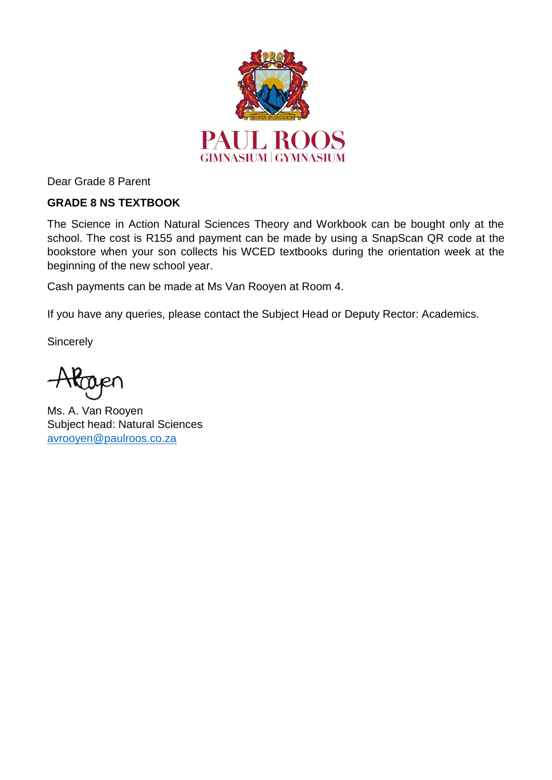

Dear Grade 8 Parent

### **GRADE 8 NS TEXTBOOK**

The Science in Action Natural Sciences Theory and Workbook can be bought only at the school. The cost is R155 and payment can be made by using a SnapScan QR code at the bookstore when your son collects his WCED textbooks during the orientation week at the beginning of the new school year.

Cash payments can be made at Ms Van Rooyen at Room 4.

If you have any queries, please contact the Subject Head or Deputy Rector: Academics.

**Sincerely** 

Ms. A. Van Rooyen Subject head: Natural Sciences [avrooyen@paulroos.co.za](mailto:avrooyen@paulroos.co.za)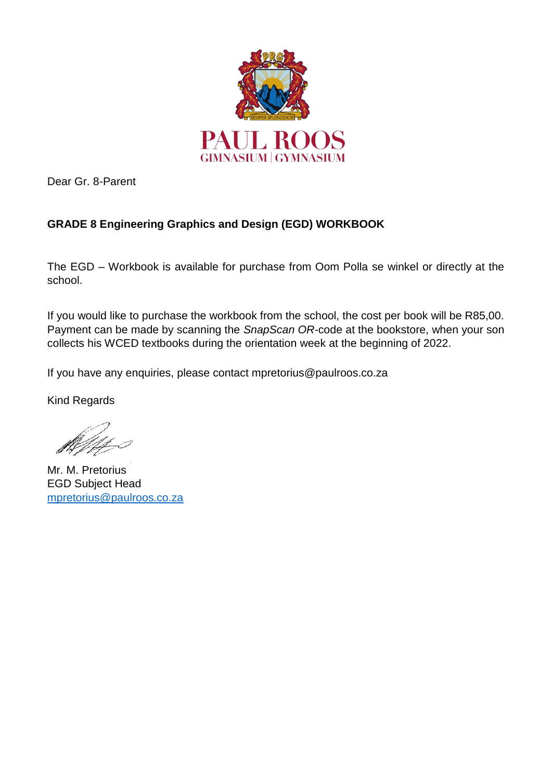

Dear Gr. 8-Parent

### **GRADE 8 Engineering Graphics and Design (EGD) WORKBOOK**

The EGD – Workbook is available for purchase from Oom Polla se winkel or directly at the school.

If you would like to purchase the workbook from the school, the cost per book will be R85,00. Payment can be made by scanning the *SnapScan OR-*code at the bookstore, when your son collects his WCED textbooks during the orientation week at the beginning of 2022.

If you have any enquiries, please contact mpretorius@paulroos.co.za

Kind Regards

Mr. M. Pretorius EGD Subject Head [mpretorius@paulroos.co.za](mailto:mpretorius@paulroos.co.za)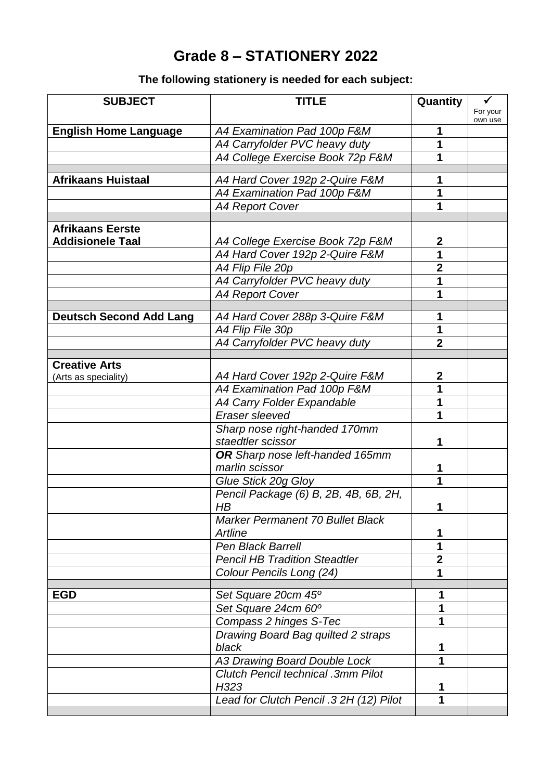# **Grade 8 – STATIONERY 2022**

## **The following stationery is needed for each subject:**

| <b>SUBJECT</b>                 | <b>TITLE</b>                              | Quantity         | ✓                   |
|--------------------------------|-------------------------------------------|------------------|---------------------|
|                                |                                           |                  | For your<br>own use |
| <b>English Home Language</b>   | A4 Examination Pad 100p F&M               | 1                |                     |
|                                | A4 Carryfolder PVC heavy duty             | 1                |                     |
|                                | A4 College Exercise Book 72p F&M          | 1                |                     |
| <b>Afrikaans Huistaal</b>      | A4 Hard Cover 192p 2-Quire F&M            | 1                |                     |
|                                | A4 Examination Pad 100p F&M               | 1                |                     |
|                                | <b>A4 Report Cover</b>                    | 1                |                     |
|                                |                                           |                  |                     |
| <b>Afrikaans Eerste</b>        |                                           |                  |                     |
| <b>Addisionele Taal</b>        | A4 College Exercise Book 72p F&M          | $\mathbf 2$      |                     |
|                                | A4 Hard Cover 192p 2-Quire F&M            | 1                |                     |
|                                | A4 Flip File 20p                          | $\mathbf 2$      |                     |
|                                | A4 Carryfolder PVC heavy duty             |                  |                     |
|                                | <b>A4 Report Cover</b>                    | 1                |                     |
|                                | A4 Hard Cover 288p 3-Quire F&M            | 1                |                     |
| <b>Deutsch Second Add Lang</b> |                                           | 1                |                     |
|                                | A4 Flip File 30p                          | $\overline{2}$   |                     |
|                                | A4 Carryfolder PVC heavy duty             |                  |                     |
| <b>Creative Arts</b>           |                                           |                  |                     |
| (Arts as speciality)           | A4 Hard Cover 192p 2-Quire F&M            | $\boldsymbol{2}$ |                     |
|                                | A4 Examination Pad 100p F&M               | 1                |                     |
|                                | A4 Carry Folder Expandable                | 1                |                     |
|                                | Eraser sleeved                            | 1                |                     |
|                                | Sharp nose right-handed 170mm             |                  |                     |
|                                | staedtler scissor                         | 1                |                     |
|                                | OR Sharp nose left-handed 165mm           |                  |                     |
|                                | marlin scissor                            | 1                |                     |
|                                | Glue Stick 20g Gloy                       | 1                |                     |
|                                | Pencil Package (6) B, 2B, 4B, 6B, 2H,     |                  |                     |
|                                | HB                                        | 1                |                     |
|                                | <b>Marker Permanent 70 Bullet Black</b>   |                  |                     |
|                                | Artline                                   | 1                |                     |
|                                | Pen Black Barrell                         | 1                |                     |
|                                | <b>Pencil HB Tradition Steadtler</b>      | $\mathbf 2$      |                     |
|                                | Colour Pencils Long (24)                  | 1                |                     |
| <b>EGD</b>                     | Set Square 20cm 45°                       | 1                |                     |
|                                | Set Square 24cm 60°                       | 1                |                     |
|                                | Compass 2 hinges S-Tec                    | 1                |                     |
|                                | Drawing Board Bag quilted 2 straps        |                  |                     |
|                                | black                                     | 1                |                     |
|                                | A3 Drawing Board Double Lock              | 1                |                     |
|                                | <b>Clutch Pencil technical .3mm Pilot</b> |                  |                     |
|                                | H323                                      | 1                |                     |
|                                | Lead for Clutch Pencil .3 2H (12) Pilot   | 1                |                     |
|                                |                                           |                  |                     |